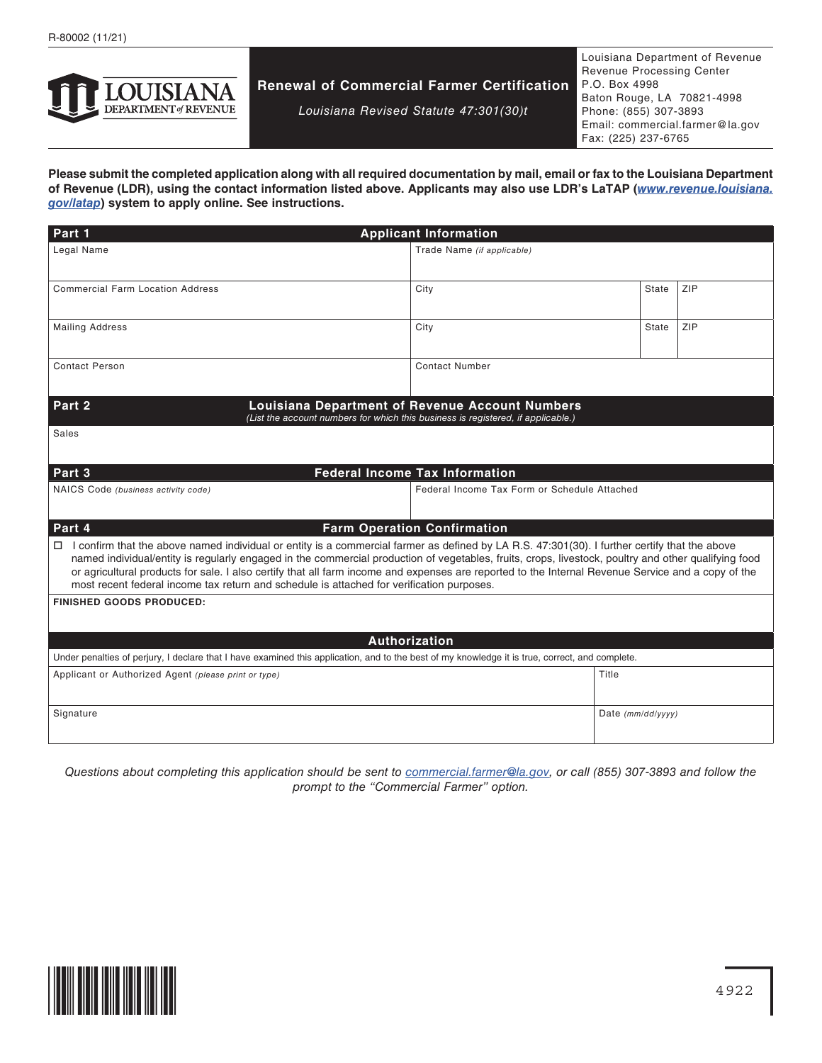

# **Renewal of Commercial Farmer Certification**

*Louisiana Revised Statute 47:301(30)t*

Louisiana Department of Revenue Revenue Processing Center P.O. Box 4998 Baton Rouge, LA 70821-4998 Phone: (855) 307-3893 Email: commercial.farmer@la.gov Fax: (225) 237-6765

**Please submit the completed application along with all required documentation by mail, email or fax to the Louisiana Department of Revenue (LDR), using the contact information listed above. Applicants may also use LDR's LaTAP (***[www.revenue.louisiana.](http://www.revenue.louisiana.gov/latap) [gov/latap](http://www.revenue.louisiana.gov/latap)***) system to apply online. See instructions.**

| Part 1<br><b>Applicant Information</b>                                                                                                                                                                                                                                                                  |                                              |                     |     |  |
|---------------------------------------------------------------------------------------------------------------------------------------------------------------------------------------------------------------------------------------------------------------------------------------------------------|----------------------------------------------|---------------------|-----|--|
| Legal Name                                                                                                                                                                                                                                                                                              | Trade Name (if applicable)                   |                     |     |  |
|                                                                                                                                                                                                                                                                                                         |                                              |                     |     |  |
| <b>Commercial Farm Location Address</b>                                                                                                                                                                                                                                                                 | City                                         | State               | ZIP |  |
|                                                                                                                                                                                                                                                                                                         |                                              |                     |     |  |
| <b>Mailing Address</b>                                                                                                                                                                                                                                                                                  | City                                         | State               | ZIP |  |
|                                                                                                                                                                                                                                                                                                         |                                              |                     |     |  |
| <b>Contact Person</b>                                                                                                                                                                                                                                                                                   | <b>Contact Number</b>                        |                     |     |  |
|                                                                                                                                                                                                                                                                                                         |                                              |                     |     |  |
| Part 2<br><b>Louisiana Department of Revenue Account Numbers</b><br>(List the account numbers for which this business is registered, if applicable.)                                                                                                                                                    |                                              |                     |     |  |
| Sales                                                                                                                                                                                                                                                                                                   |                                              |                     |     |  |
|                                                                                                                                                                                                                                                                                                         |                                              |                     |     |  |
| <b>Federal Income Tax Information</b><br>Part 3                                                                                                                                                                                                                                                         |                                              |                     |     |  |
| NAICS Code (business activity code)                                                                                                                                                                                                                                                                     | Federal Income Tax Form or Schedule Attached |                     |     |  |
|                                                                                                                                                                                                                                                                                                         |                                              |                     |     |  |
| Part 4<br><b>Farm Operation Confirmation</b>                                                                                                                                                                                                                                                            |                                              |                     |     |  |
| □ I confirm that the above named individual or entity is a commercial farmer as defined by LA R.S. 47:301(30). I further certify that the above<br>named individual/entity is regularly engaged in the commercial production of vegetables, fruits, crops, livestock, poultry and other qualifying food |                                              |                     |     |  |
| or agricultural products for sale. I also certify that all farm income and expenses are reported to the Internal Revenue Service and a copy of the                                                                                                                                                      |                                              |                     |     |  |
| most recent federal income tax return and schedule is attached for verification purposes.                                                                                                                                                                                                               |                                              |                     |     |  |
| <b>FINISHED GOODS PRODUCED:</b>                                                                                                                                                                                                                                                                         |                                              |                     |     |  |
|                                                                                                                                                                                                                                                                                                         |                                              |                     |     |  |
| Authorization                                                                                                                                                                                                                                                                                           |                                              |                     |     |  |
| Under penalties of perjury, I declare that I have examined this application, and to the best of my knowledge it is true, correct, and complete.                                                                                                                                                         |                                              |                     |     |  |
| Applicant or Authorized Agent (please print or type)                                                                                                                                                                                                                                                    |                                              | Title               |     |  |
| Signature                                                                                                                                                                                                                                                                                               |                                              | Date $(mm/dd/yyyy)$ |     |  |
|                                                                                                                                                                                                                                                                                                         |                                              |                     |     |  |
|                                                                                                                                                                                                                                                                                                         |                                              |                     |     |  |

*Questions about completing this application should be sent to [commercial.farmer@la.gov](mailto:commercial.farmer%40la.gov?subject=), or call (855) 307-3893 and follow the prompt to the "Commercial Farmer" option.*